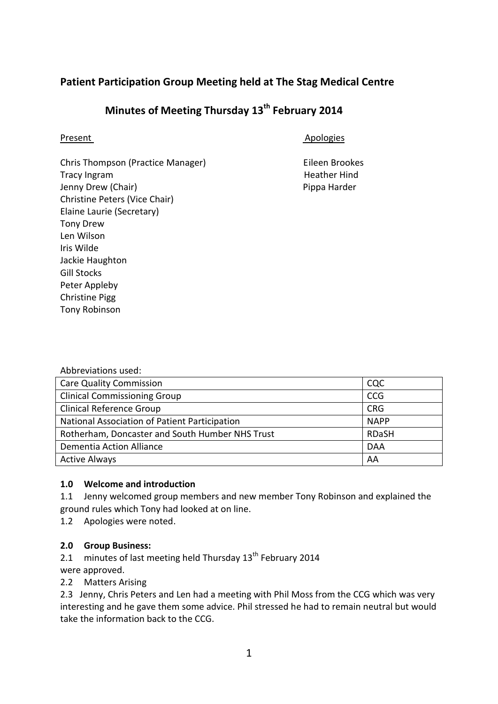## **Patient Participation Group Meeting held at The Stag Medical Centre**

# **Minutes of Meeting Thursday 13th February 2014**

Present Apologies

Chris Thompson (Practice Manager) Eileen Brookes Tracy Ingram **Heather Hind** Jenny Drew (Chair) **Pippa Harder** Pippa Harder Christine Peters (Vice Chair) Elaine Laurie (Secretary) Tony Drew Len Wilson Iris Wilde Jackie Haughton Gill Stocks Peter Appleby Christine Pigg Tony Robinson

| <b>Care Quality Commission</b>                  | <b>CQC</b>   |
|-------------------------------------------------|--------------|
| <b>Clinical Commissioning Group</b>             | <b>CCG</b>   |
| <b>Clinical Reference Group</b>                 | <b>CRG</b>   |
| National Association of Patient Participation   | <b>NAPP</b>  |
| Rotherham, Doncaster and South Humber NHS Trust | <b>RDaSH</b> |
| Dementia Action Alliance                        | <b>DAA</b>   |
| <b>Active Always</b>                            | AA           |

### **1.0 Welcome and introduction**

1.1 Jenny welcomed group members and new member Tony Robinson and explained the ground rules which Tony had looked at on line.

1.2 Apologies were noted.

## **2.0 Group Business:**

- 2.1 minutes of last meeting held Thursday  $13<sup>th</sup>$  February 2014
- were approved.
- 2.2 Matters Arising

2.3 Jenny, Chris Peters and Len had a meeting with Phil Moss from the CCG which was very interesting and he gave them some advice. Phil stressed he had to remain neutral but would take the information back to the CCG.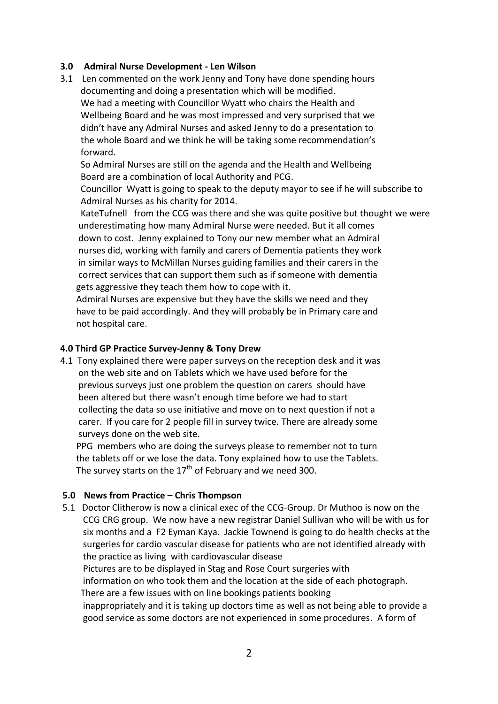#### **3.0 Admiral Nurse Development - Len Wilson**

3.1 Len commented on the work Jenny and Tony have done spending hours documenting and doing a presentation which will be modified. We had a meeting with Councillor Wyatt who chairs the Health and Wellbeing Board and he was most impressed and very surprised that we didn't have any Admiral Nurses and asked Jenny to do a presentation to the whole Board and we think he will be taking some recommendation's forward.

 So Admiral Nurses are still on the agenda and the Health and Wellbeing Board are a combination of local Authority and PCG.

 Councillor Wyatt is going to speak to the deputy mayor to see if he will subscribe to Admiral Nurses as his charity for 2014.

 KateTufnell from the CCG was there and she was quite positive but thought we were underestimating how many Admiral Nurse were needed. But it all comes down to cost. Jenny explained to Tony our new member what an Admiral nurses did, working with family and carers of Dementia patients they work in similar ways to McMillan Nurses guiding families and their carers in the correct services that can support them such as if someone with dementia gets aggressive they teach them how to cope with it.

 Admiral Nurses are expensive but they have the skills we need and they have to be paid accordingly. And they will probably be in Primary care and not hospital care.

#### **4.0 Third GP Practice Survey-Jenny & Tony Drew**

4.1 Tony explained there were paper surveys on the reception desk and it was on the web site and on Tablets which we have used before for the previous surveys just one problem the question on carers should have been altered but there wasn't enough time before we had to start collecting the data so use initiative and move on to next question if not a carer. If you care for 2 people fill in survey twice. There are already some surveys done on the web site.

 PPG members who are doing the surveys please to remember not to turn the tablets off or we lose the data. Tony explained how to use the Tablets. The survey starts on the  $17<sup>th</sup>$  of February and we need 300.

### **5.0 News from Practice – Chris Thompson**

5.1 Doctor Clitherow is now a clinical exec of the CCG-Group. Dr Muthoo is now on the CCG CRG group. We now have a new registrar Daniel Sullivan who will be with us for six months and a F2 Eyman Kaya. Jackie Townend is going to do health checks at the surgeries for cardio vascular disease for patients who are not identified already with the practice as living with cardiovascular disease

 Pictures are to be displayed in Stag and Rose Court surgeries with information on who took them and the location at the side of each photograph.

There are a few issues with on line bookings patients booking

 inappropriately and it is taking up doctors time as well as not being able to provide a good service as some doctors are not experienced in some procedures. A form of